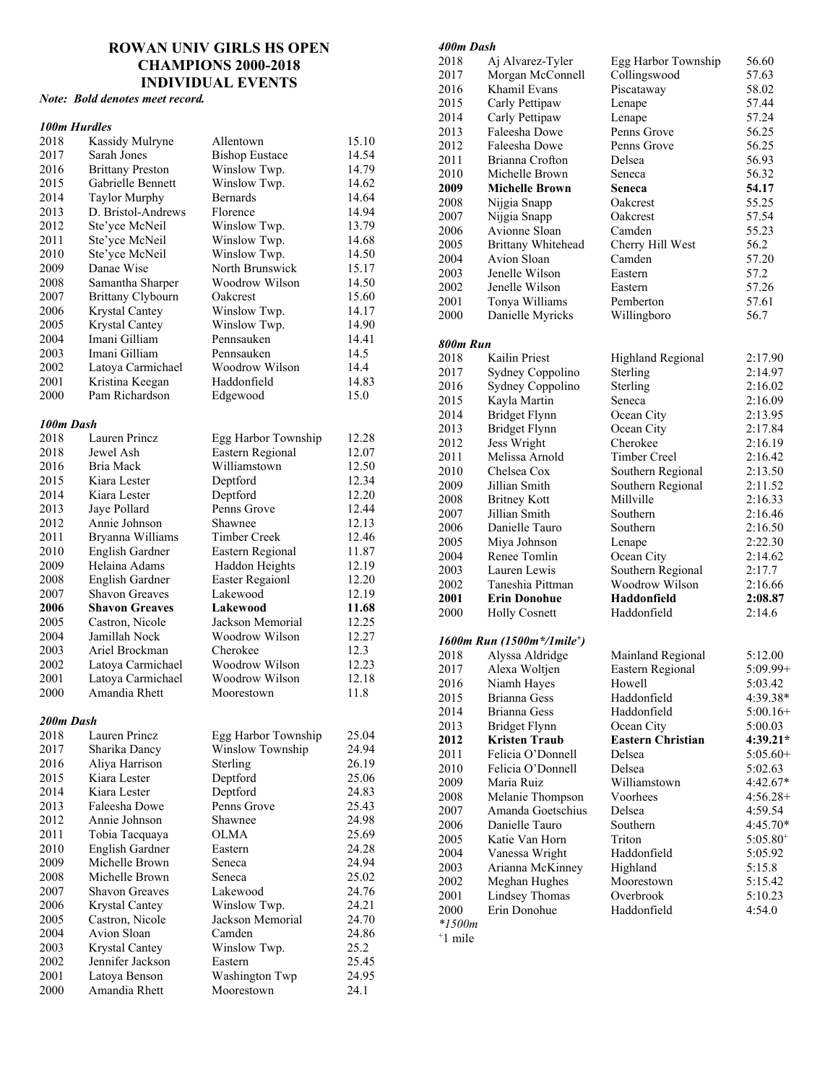# **ROWAN UNIV GIRLS HS OPEN CHAMPIONS 2000-2018 INDIVIDUAL EVENTS**

# *Note: Bold denotes meet record.*

#### *100m Hurdles*

| 2018         | Kassidy Mulryne                                | Allentown                    | 15.10          |
|--------------|------------------------------------------------|------------------------------|----------------|
| 2017         | Sarah Jones                                    | <b>Bishop Eustace</b>        | 14.54          |
| 2016         | <b>Brittany Preston</b>                        | Winslow Twp.                 | 14.79          |
| 2015         | Gabrielle Bennett                              | Winslow Twp.                 | 14.62          |
| 2014         | <b>Taylor Murphy</b>                           | Bernards                     | 14.64          |
| 2013         | D. Bristol-Andrews                             | Florence                     | 14.94          |
| 2012         | Ste'yce McNeil                                 | Winslow Twp.                 | 13.79          |
| 2011         | Ste'yce McNeil                                 | Winslow Twp.                 | 14.68          |
| 2010         | Ste'yce McNeil                                 | Winslow Twp.                 | 14.50          |
| 2009         | Danae Wise                                     | North Brunswick              | 15.17          |
| 2008         | Samantha Sharper                               | Woodrow Wilson               | 14.50          |
| 2007         | <b>Brittany Clybourn</b>                       | Oakcrest                     | 15.60          |
| 2006         | Krystal Cantey                                 | Winslow Twp.                 | 14.17          |
| 2005         | Krystal Cantey                                 | Winslow Twp.                 | 14.90          |
| 2004         | Imani Gilliam                                  | Pennsauken                   | 14.41          |
| 2003         | Imani Gilliam                                  | Pennsauken                   | 14.5           |
| 2002         | Latoya Carmichael                              | Woodrow Wilson               | 14.4           |
| 2001         | Kristina Keegan                                | Haddonfield                  | 14.83          |
| 2000         | Pam Richardson                                 | Edgewood                     | 15.0           |
| 100m Dash    |                                                |                              |                |
| 2018         | Lauren Princz                                  | Egg Harbor Township          | 12.28          |
| 2018         | Jewel Ash                                      | Eastern Regional             | 12.07          |
| 2016         | Bria Mack                                      | Williamstown                 | 12.50          |
| 2015         | Kiara Lester                                   | Deptford                     | 12.34          |
| 2014         | Kiara Lester                                   | Deptford                     | 12.20          |
| 2013         | Jaye Pollard                                   | Penns Grove                  | 12.44          |
| 2012         | Annie Johnson                                  | Shawnee                      | 12.13          |
| 2011         | Bryanna Williams                               | Timber Creek                 | 12.46          |
| 2010         | English Gardner                                | Eastern Regional             | 11.87          |
| 2009         | Helaina Adams                                  | Haddon Heights               | 12.19          |
| 2008         | English Gardner                                | <b>Easter Regaionl</b>       | 12.20          |
| 2007<br>2006 | <b>Shavon Greaves</b><br><b>Shavon Greaves</b> | Lakewood<br>Lakewood         | 12.19<br>11.68 |
| 2005         | Castron, Nicole                                | Jackson Memorial             | 12.25          |
| 2004         | Jamillah Nock                                  | Woodrow Wilson               | 12.27          |
| 2003         | Ariel Brockman                                 | Cherokee                     | 12.3           |
| 2002         | Latoya Carmichael                              | Woodrow Wilson               | 12.23          |
| 2001         | Latoya Carmichael                              | Woodrow Wilson               | 12.18          |
| 2000         | Amandia Rhett                                  | Moorestown                   | 11.8           |
| 200m Dash    |                                                |                              |                |
| 2018         | Lauren Princz                                  | Egg Harbor Township          | 25.04          |
| 2017         | Sharika Dancy                                  | Winslow Township             | 24.94          |
| 2016         | Aliya Harrison                                 | Sterling                     | 26.19          |
| 2015         | Kiara Lester                                   | Deptford                     | 25.06          |
| 2014         | Kiara Lester                                   | Deptford                     | 24.83          |
| 2013         | Faleesha Dowe                                  | Penns Grove                  | 25.43          |
| 2012         | Annie Johnson                                  | Shawnee                      | 24.98          |
| 2011         | Tobia Tacquaya                                 | OLMA                         | 25.69          |
| 2010         | English Gardner                                | Eastern                      | 24.28          |
| 2009         | Michelle Brown                                 | Seneca                       | 24.94          |
| 2008         | Michelle Brown                                 | Seneca                       | 25.02          |
| 2007         | <b>Shavon Greaves</b>                          | Lakewood                     | 24.76          |
| 2006         | Krystal Cantey                                 | Winslow Twp.                 | 24.21          |
| 2005         | Castron, Nicole                                | Jackson Memorial             | 24.70          |
| 2004         | Avion Sloan                                    | Camden                       | 24.86          |
| 2003         | Krystal Cantey                                 | Winslow Twp.                 | 25.2           |
| 2002<br>2001 | Jennifer Jackson                               | Eastern                      | 25.45          |
| 2000         | Latoya Benson<br>Amandia Rhett                 | Washington Twp<br>Moorestown | 24.95<br>24.1  |
|              |                                                |                              |                |

#### *400m Dash*

| 2018      | Aj Alvarez-Tyler          | Egg Harbor Township      | 56.60         |
|-----------|---------------------------|--------------------------|---------------|
| 2017      | Morgan McConnell          | Collingswood             | 57.63         |
| 2016      | Khamil Evans              | Piscataway               | 58.02         |
| 2015      | Carly Pettipaw            | Lenape                   | 57.44         |
| 2014      | Carly Pettipaw            | Lenape                   | 57.24         |
| 2013      | Faleesha Dowe             | Penns Grove              | 56.25         |
| 2012      | Faleesha Dowe             | Penns Grove              | 56.25         |
| 2011      | Brianna Crofton           | Delsea                   | 56.93         |
| 2010      | Michelle Brown            | Seneca                   | 56.32         |
| 2009      | Michelle Brown            | Seneca                   | 54.17         |
| 2008      | Nijgia Snapp              | Oakcrest                 | 55.25         |
| 2007      | Nijgia Snapp              | Oakcrest                 | 57.54         |
| 2006      | Avionne Sloan             | Camden                   | 55.23         |
| 2005      | Brittany Whitehead        | Cherry Hill West         | 56.2          |
| 2004      | Avion Sloan               | Camden                   | 57.20         |
| 2003      | Jenelle Wilson            | Eastern                  | 57.2          |
| 2002      | Jenelle Wilson            | Eastern                  | 57.26         |
| 2001      | Tonya Williams            | Pemberton                | 57.61         |
| 2000      | Danielle Myricks          | Willingboro              | 56.7          |
|           |                           |                          |               |
| 800m Run  |                           |                          |               |
| 2018      | Kailin Priest             | Highland Regional        | 2:17.90       |
| 2017      | Sydney Coppolino          | Sterling                 | 2:14.97       |
| 2016      | Sydney Coppolino          | Sterling                 | 2:16.02       |
| 2015      | Kayla Martin              | Seneca                   | 2:16.09       |
| 2014      | <b>Bridget Flynn</b>      | Ocean City               | 2:13.95       |
| 2013      | <b>Bridget Flynn</b>      | Ocean City               | 2:17.84       |
| 2012      | Jess Wright               | Cherokee                 | 2:16.19       |
| 2011      | Melissa Arnold            | Timber Creel             | 2:16.42       |
| 2010      | Chelsea Cox               | Southern Regional        | 2:13.50       |
| 2009      | Jillian Smith             | Southern Regional        | 2:11.52       |
| 2008      | <b>Britney Kott</b>       | Millville                | 2:16.33       |
| 2007      | Jillian Smith             | Southern                 | 2:16.46       |
| 2006      | Danielle Tauro            | Southern                 | 2:16.50       |
| 2005      | Miya Johnson              | Lenape                   | 2:22.30       |
| 2004      | Renee Tomlin              | Ocean City               | 2:14.62       |
| 2003      | Lauren Lewis              | Southern Regional        | 2:17.7        |
| 2002      | Taneshia Pittman          | Woodrow Wilson           | 2:16.66       |
| 2001      | <b>Erin Donohue</b>       | Haddonfield              | 2:08.87       |
| 2000      | <b>Holly Cosnett</b>      | Haddonfield              | 2:14.6        |
|           |                           |                          |               |
|           | 1600m Run (1500m*/1mile*) |                          |               |
| 2018      | Alyssa Aldridge           | Mainland Regional        | 5:12.00       |
| 2017      | Alexa Woltjen             | Eastern Regional         | $5:09.99+$    |
| 2016      | Niamh Hayes               | Howell                   | 5:03.42       |
| 2015      | Brianna Gess              | Haddonfield              | 4:39.38*      |
| 2014      | Brianna Gess              | Haddonfield              | $5:00.16+$    |
| 2013      | <b>Bridget Flynn</b>      | Ocean City               | 5:00.03       |
| 2012      | <b>Kristen Traub</b>      | <b>Eastern Christian</b> | 4:39.21*      |
| 2011      | Felicia O'Donnell         | Delsea                   | $5:05.60+$    |
| 2010      | Felicia O'Donnell         | Delsea                   | 5:02.63       |
| 2009      | Maria Ruiz                | Williamstown             | 4:42.67*      |
| 2008      | Melanie Thompson          | Voorhees                 | $4:56.28+$    |
| 2007      | Amanda Goetschius         | Delsea                   | 4:59.54       |
| 2006      | Danielle Tauro            | Southern                 | 4:45.70*      |
| 2005      | Katie Van Horn            | Triton                   | $5:05.80^{+}$ |
| 2004      | Vanessa Wright            | Haddonfield              | 5:05.92       |
| 2003      | Arianna McKinney          | Highland                 | 5:15.8        |
| 2002      | Meghan Hughes             | Moorestown               | 5:15.42       |
| 2001      | <b>Lindsey Thomas</b>     | Overbrook                | 5:10.23       |
| 2000      | Erin Donohue              | Haddonfield              | 4:54.0        |
| $*1500m$  |                           |                          |               |
| $+1$ mile |                           |                          |               |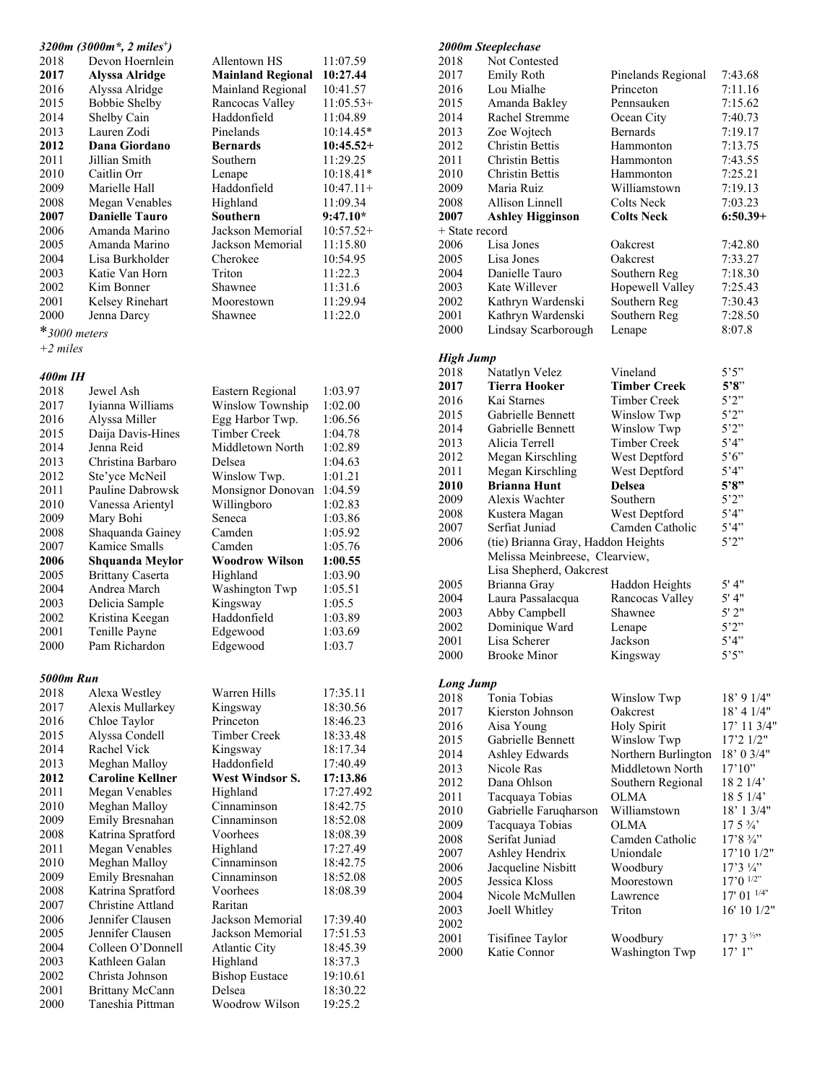| 3200m (3000m <sup>*</sup> , 2 miles <sup>+</sup> ) |                       |                          |             |
|----------------------------------------------------|-----------------------|--------------------------|-------------|
| 2018                                               | Devon Hoernlein       | Allentown HS             | 11:07.59    |
| 2017                                               | Alyssa Alridge        | <b>Mainland Regional</b> | 10:27.44    |
| 2016                                               | Alyssa Alridge        | Mainland Regional        | 10:41.57    |
| 2015                                               | Bobbie Shelby         | Rancocas Valley          | $11:05.53+$ |
| 2014                                               | Shelby Cain           | Haddonfield              | 11:04.89    |
| 2013                                               | Lauren Zodi           | Pinelands                | $10:14.45*$ |
| 2012                                               | Dana Giordano         | <b>Bernards</b>          | $10:45.52+$ |
| 2011                                               | Jillian Smith         | Southern                 | 11:29.25    |
| 2010                                               | Caitlin Orr           | Lenape                   | $10:18.41*$ |
| 2009                                               | Marielle Hall         | Haddonfield              | $10:47.11+$ |
| 2008                                               | Megan Venables        | Highland                 | 11:09.34    |
| 2007                                               | <b>Danielle Tauro</b> | Southern                 | $9:47.10*$  |
| 2006                                               | Amanda Marino         | Jackson Memorial         | $10:57.52+$ |
| 2005                                               | Amanda Marino         | Jackson Memorial         | 11:15.80    |
| 2004                                               | Lisa Burkholder       | Cherokee                 | 10:54.95    |
| 2003                                               | Katie Van Horn        | Triton                   | 11:22.3     |
| 2002                                               | Kim Bonner            | Shawnee                  | 11:31.6     |
| 2001                                               | Kelsey Rinehart       | Moorestown               | 11:29.94    |
| 2000                                               | Jenna Darcy           | Shawnee                  | 11:22.0     |
| $*$ 3000 meters                                    |                       |                          |             |
| $+2$ miles                                         |                       |                          |             |

# *400m IH*<br>2018 Jewel Ash

| 2018             | Jewel Ash               | Eastern Regional      | 1:03.97   |
|------------------|-------------------------|-----------------------|-----------|
| 2017             | Iyianna Williams        | Winslow Township      | 1:02.00   |
| 2016             | Alyssa Miller           | Egg Harbor Twp.       | 1:06.56   |
| 2015             | Daija Davis-Hines       | <b>Timber Creek</b>   | 1:04.78   |
| 2014             | Jenna Reid              | Middletown North      | 1:02.89   |
| 2013             | Christina Barbaro       | Delsea                | 1:04.63   |
| 2012             | Ste'yce McNeil          | Winslow Twp.          | 1:01.21   |
| 2011             | Pauline Dabrowsk        | Monsignor Donovan     | 1:04.59   |
| 2010             | Vanessa Arientyl        | Willingboro           | 1:02.83   |
| 2009             | Mary Bohi               | Seneca                | 1:03.86   |
| 2008             | Shaquanda Gainey        | Camden                | 1:05.92   |
| 2007             | Kamice Smalls           | Camden                | 1:05.76   |
| 2006             | <b>Shquanda Meylor</b>  | <b>Woodrow Wilson</b> | 1:00.55   |
| 2005             | <b>Brittany Caserta</b> | Highland              | 1:03.90   |
| 2004             | Andrea March            | Washington Twp        | 1:05.51   |
| 2003             | Delicia Sample          | Kingsway              | 1:05.5    |
| 2002             | Kristina Keegan         | Haddonfield           | 1:03.89   |
| 2001             | Tenille Payne           | Edgewood              | 1:03.69   |
| 2000             | Pam Richardon           | Edgewood              | 1:03.7    |
|                  |                         |                       |           |
| <b>5000m Run</b> |                         |                       |           |
| 2018             | Alexa Westley           | Warren Hills          | 17:35.11  |
| 2017             | Alexis Mullarkey        | Kingsway              | 18:30.56  |
| 2016             | Chloe Taylor            | Princeton             | 18:46.23  |
| 2015             | Alyssa Condell          | Timber Creek          | 18:33.48  |
| 2014             | Rachel Vick             | Kingsway              | 18:17.34  |
| 2013             | Meghan Malloy           | Haddonfield           | 17:40.49  |
| 2012             | <b>Caroline Kellner</b> | West Windsor S.       | 17:13.86  |
| 2011             | Megan Venables          | Highland              | 17:27.492 |
| 2010             | Meghan Malloy           | Cinnaminson           | 18:42.75  |
| 2009             | Emily Bresnahan         | Cinnaminson           | 18:52.08  |
| 2008             | Katrina Spratford       | Voorhees              | 18:08.39  |
| 2011             | Megan Venables          | Highland              | 17:27.49  |
| 2010             | Meghan Malloy           | Cinnaminson           | 18:42.75  |
| 2009             | Emily Bresnahan         | Cinnaminson           | 18:52.08  |
| 2008             | Katrina Spratford       | Voorhees              | 18:08.39  |
| 2007             | Christine Attland       | Raritan               |           |
| 2006             | Jennifer Clausen        | Jackson Memorial      | 17:39.40  |
| 2005             | Jennifer Clausen        | Jackson Memorial      | 17:51.53  |
| 2004             | Colleen O'Donnell       | <b>Atlantic City</b>  | 18:45.39  |
| 2003             | Kathleen Galan          | Highland              | 18:37.3   |
| 2002             | Christa Johnson         | <b>Bishop Eustace</b> | 19:10.61  |
| 2001             | <b>Brittany McCann</b>  | Delsea                | 18:30.22  |
| 2000             | Taneshia Pittman        | Woodrow Wilson        | 19:25.2   |

|                  | 2000m Steeplechase                 |                                   |                      |
|------------------|------------------------------------|-----------------------------------|----------------------|
| 2018             | Not Contested                      |                                   |                      |
| 2017             | <b>Emily Roth</b>                  | Pinelands Regional                | 7:43.68              |
| 2016             | Lou Mialhe                         | Princeton                         | 7:11.16              |
| 2015             | Amanda Bakley                      | Pennsauken                        | 7:15.62              |
| 2014             | Rachel Stremme                     | Ocean City                        | 7:40.73              |
| 2013             | Zoe Wojtech                        | Bernards                          | 7:19.17              |
| 2012             | <b>Christin Bettis</b>             | Hammonton                         | 7:13.75              |
| 2011             | Christin Bettis                    | Hammonton                         | 7:43.55              |
| 2010             | Christin Bettis                    | Hammonton                         | 7:25.21              |
| 2009             | Maria Ruiz                         | Williamstown                      | 7:19.13              |
| 2008             | Allison Linnell                    | Colts Neck                        | 7:03.23              |
| 2007             | <b>Ashley Higginson</b>            | <b>Colts Neck</b>                 | $6:50.39+$           |
| + State record   |                                    |                                   |                      |
| 2006             | Lisa Jones                         | Oakcrest                          | 7:42.80              |
| 2005             | Lisa Jones                         | Oakcrest                          | 7:33.27              |
| 2004             | Danielle Tauro                     | Southern Reg                      | 7:18.30              |
| 2003             | Kate Willever                      | Hopewell Valley                   | 7:25.43              |
| 2002             | Kathryn Wardenski                  | Southern Reg                      | 7:30.43              |
| 2001             | Kathryn Wardenski                  | Southern Reg                      | 7:28.50              |
| 2000             | Lindsay Scarborough                | Lenape                            | 8:07.8               |
|                  |                                    |                                   |                      |
| <b>High Jump</b> |                                    |                                   |                      |
| 2018             | Natatlyn Velez                     | Vineland                          | 5'5"                 |
| 2017             | Tierra Hooker                      | Timber Creek                      | 5'8''                |
| 2016             | Kai Starnes                        | <b>Timber Creek</b>               | 5'2''                |
| 2015             | Gabrielle Bennett                  | Winslow Twp                       | 5'2''                |
| 2014             | Gabrielle Bennett                  | Winslow Twp                       | 5'2''                |
| 2013             | Alicia Terrell                     | Timber Creek                      | 5'4"                 |
| 2012             | Megan Kirschling                   | West Deptford                     | $5^{\circ}6^{\circ}$ |
| 2011             | Megan Kirschling                   | West Deptford                     | 5'4"                 |
| 2010             | <b>Brianna Hunt</b>                | Delsea                            | 5'8''                |
| 2009             | Alexis Wachter                     | Southern                          | 5'2''                |
| 2008             | Kustera Magan                      | West Deptford                     | 5'4"                 |
| 2007             | Serfiat Juniad                     | Camden Catholic                   | 5'4"                 |
| 2006             | (tie) Brianna Gray, Haddon Heights |                                   | 5'2"                 |
|                  | Melissa Meinbreese, Clearview,     |                                   |                      |
|                  | Lisa Shepherd, Oakcrest            |                                   |                      |
| 2005             | Brianna Gray                       |                                   | 5' 4''               |
| 2004             | Laura Passalacqua                  | Haddon Heights<br>Rancocas Valley | $5'$ 4"              |
| 2003             | Abby Campbell                      | Shawnee                           | $5'$ 2"              |
| 2002             |                                    |                                   | 5'2''                |
| 2001             | Dominique Ward<br>Lisa Scherer     | Lenape<br>Jackson                 | 5'4"                 |
|                  | <b>Brooke Minor</b>                |                                   | 5'5"                 |
| 2000             |                                    | Kingsway                          |                      |
| <b>Long Jump</b> |                                    |                                   |                      |
| 2018             | Tonia Tobias                       | Winslow Twp                       | $18'$ 9 $1/4"$       |
| 2017             | Kierston Johnson                   | Oakcrest                          | 18' 41/4"            |
| 2016             | Aisa Young                         | Holy Spirit                       | $17'$ 11 3/4"        |
| 2015             | Gabrielle Bennett                  | Winslow Twp                       | 17'2 1/2"            |
| 2014             | Ashley Edwards                     | Northern Burlington               | 18' 0 3/4"           |
| 2013             | Nicole Ras                         | Middletown North                  | 17'10''              |
| 2012             | Dana Ohlson                        | Southern Regional                 | 18 2 1/4'            |
| 2011             | Tacquaya Tobias                    | OLMA                              | 1851/4'              |
| 2010             | Gabrielle Faruqharson              | Williamstown                      | $18'$ 1 3/4"         |
| 2009             |                                    | <b>OLMA</b>                       | $17.5\frac{3}{4}$    |
| 2008             | Tacquaya Tobias<br>Serifat Juniad  | Camden Catholic                   |                      |
|                  |                                    |                                   | $17'8\frac{3}{4}$    |
| 2007             | Ashley Hendrix                     | Uniondale                         | 17'101/2"            |
| 2006             | Jacqueline Nisbitt                 | Woodbury                          | $17'3\frac{1}{4}$    |
| 2005             | Jessica Kloss                      | Moorestown                        | $17'0$ $^{1/2"}$     |
| 2004             | Nicole McMullen                    | Lawrence                          | $17' 01$ $^{1/4"}$   |
| 2003             | Joell Whitley                      | Triton                            | 16' 10' 1/2"         |
| 2002             |                                    |                                   |                      |

2001 Tisifinee Taylor Woodbury 17' 3 <sup>12</sup>"<br>2000 Katie Connor Washington Twp 17' 1"

2000 Katie Connor Washington Twp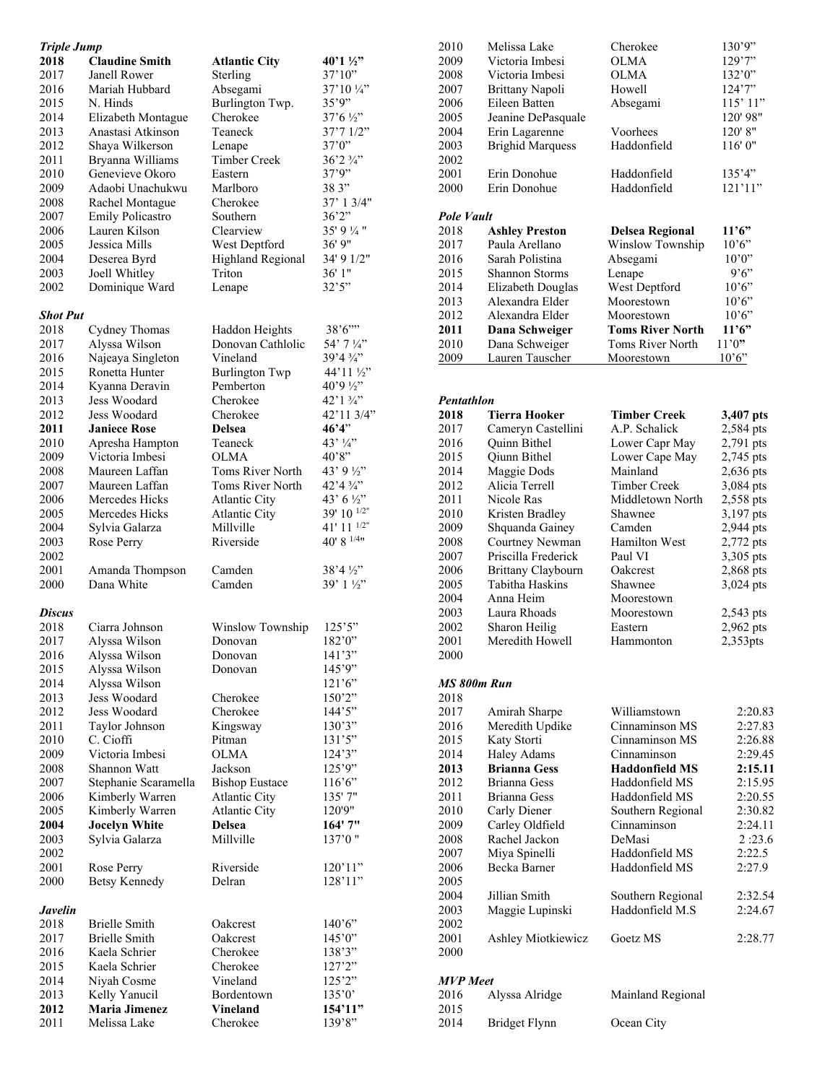| <b>Triple Jump</b> |                       |                                     |                     |
|--------------------|-----------------------|-------------------------------------|---------------------|
| 2018               | <b>Claudine Smith</b> | <b>Atlantic City</b>                | 40'1 1/2"           |
| 2017               | Janell Rower          | Sterling                            | 37'10''             |
| 2016               | Mariah Hubbard        | Absegami                            | 37'10''             |
| 2015               | N. Hinds              | Burlington Twp.                     | 35'9''              |
| 2014               | Elizabeth Montague    | Cherokee                            | $37'6\frac{1}{2}$   |
| 2013               | Anastasi Atkinson     | Teaneck                             | 37'71/2"            |
| 2012               | Shaya Wilkerson       | Lenape                              | 37'0"               |
| 2011               | Bryanna Williams      | Timber Creek                        | 36'2 ¾"             |
|                    |                       |                                     |                     |
| 2010               | Genevieve Okoro       | Eastern                             | 37'9''              |
| 2009               | Adaobi Unachukwu      | Marlboro                            | 38 3"               |
| 2008               | Rachel Montague       | Cherokee                            | 37' 1 3/4"          |
| 2007               | Emily Policastro      | Southern                            | 36'2''              |
| 2006               | Lauren Kilson         | Clearview                           | 35' 9 ¼ "           |
| 2005               | Jessica Mills         | West Deptford                       | 36' 9"              |
| 2004               | Deserea Byrd          | Highland Regional                   | 34' 9 1/2"          |
| 2003               | Joell Whitley         | Triton                              | 36' 1"              |
| 2002               | Dominique Ward        | Lenape                              | 32'5''              |
|                    |                       |                                     |                     |
| <b>Shot Put</b>    |                       |                                     |                     |
| 2018               |                       |                                     | 38'6'''             |
|                    | Cydney Thomas         | Haddon Heights<br>Donovan Cathlolic |                     |
| 2017               | Alyssa Wilson         |                                     | 54' 7 ¼"            |
| 2016               | Najeaya Singleton     | Vineland                            | 39'4 ¾"             |
| 2015               | Ronetta Hunter        | Burlington Twp                      | 44'11 ½"            |
| 2014               | Kyanna Deravin        | Pemberton                           | 40'9 1/2"           |
| 2013               | Jess Woodard          | Cherokee                            | 42'1 3/4"           |
| 2012               | Jess Woodard          | Cherokee                            | 42'11 3/4"          |
| 2011               | <b>Janiece Rose</b>   | Delsea                              | 46'4"               |
| 2010               | Apresha Hampton       | Teaneck                             | 43' 1/4"            |
| 2009               | Victoria Imbesi       | OLMA                                | 40'8"               |
| 2008               | Maureen Laffan        | Toms River North                    | 43' 9 ½''           |
| 2007               | Maureen Laffan        | Toms River North                    | 42'4 3/4"           |
| 2006               | Mercedes Hicks        |                                     | 43' 6 $\frac{1}{2}$ |
|                    |                       | <b>Atlantic City</b>                |                     |
| 2005               | Mercedes Hicks        | <b>Atlantic City</b>                | 39' 10 1/2"         |
| 2004               | Sylvia Galarza        | Millville                           | 41' 11 $1/2"$       |
| 2003               | Rose Perry            | Riverside                           | 40' 8 $1/4$ "       |
| 2002               |                       |                                     |                     |
| 2001               | Amanda Thompson       | Camden                              | $38'4\frac{1}{2}$   |
| 2000               | Dana White            | Camden                              | $39'1\frac{1}{2}$   |
|                    |                       |                                     |                     |
| Discus             |                       |                                     |                     |
| 2018               | Ciarra Johnson        | Winslow Township                    | 125'5"              |
| 2017               | Alyssa Wilson         | Donovan                             | 182'0"              |
| 2016               | Alyssa Wilson         | Donovan                             | 141'3"              |
| 2015               | Alyssa Wilson         | Donovan                             | 145'9"              |
|                    |                       |                                     |                     |
| 2014               | Alyssa Wilson         |                                     | 121'6'              |
| 2013               | Jess Woodard          | Cherokee                            | 150'2"              |
| 2012               | Jess Woodard          | Cherokee                            | 144'5"              |
| 2011               | Taylor Johnson        | Kingsway                            | 130'3"              |
| 2010               | C. Cioffi             | Pitman                              | 131'5''             |
| 2009               | Victoria Imbesi       | <b>OLMA</b>                         | 124'3''             |
| 2008               | Shannon Watt          | Jackson                             | 125'9"              |
| 2007               | Stephanie Scaramella  | <b>Bishop Eustace</b>               | 116'6''             |
| 2006               | Kimberly Warren       | <b>Atlantic City</b>                | 135' 7"             |
| 2005               | Kimberly Warren       | <b>Atlantic City</b>                | 120'9"              |
| 2004               | <b>Jocelyn White</b>  | Delsea                              | 164' 7"             |
| 2003               | Sylvia Galarza        | Millville                           | 137'0"              |
| 2002               |                       |                                     |                     |
|                    |                       |                                     |                     |
| 2001               | Rose Perry            | Riverside                           | 120'11"             |
| 2000               | <b>Betsy Kennedy</b>  | Delran                              | 128'11"             |
|                    |                       |                                     |                     |
| Javelin            |                       |                                     |                     |
| 2018               | <b>Brielle Smith</b>  | Oakcrest                            | 140'6"              |
| 2017               | <b>Brielle Smith</b>  | Oakcrest                            | 145'0''             |
| 2016               | Kaela Schrier         | Cherokee                            | 138'3"              |
| 2015               | Kaela Schrier         | Cherokee                            | 127'2''             |
| 2014               | Niyah Cosme           | Vineland                            | 125'2"              |
| 2013               | Kelly Yanucil         | Bordentown                          | 135'0'              |
| 2012               | <b>Maria Jimenez</b>  | <b>Vineland</b>                     | 154'11"             |
| 2011               | Melissa Lake          | Cherokee                            | 139'8"              |
|                    |                       |                                     |                     |

| 2010        | Melissa Lake              | Cherokee                | 130'9"      |
|-------------|---------------------------|-------------------------|-------------|
| 2009        | Victoria Imbesi           | OLMA                    | 129'7''     |
| 2008        | Victoria Imbesi           | OLMA                    | 132'0"      |
| 2007        | Brittany Napoli           | Howell                  | 124'7"      |
| 2006        | Eileen Batten             | Absegami                | 115'11"     |
| 2005        | Jeanine DePasquale        |                         | 120'98"     |
| 2004        | Erin Lagarenne            | Voorhees                | 120'8"      |
| 2003        | <b>Brighid Marquess</b>   | Haddonfield             | 116'0"      |
| 2002        |                           |                         |             |
| 2001        | Erin Donohue              | Haddonfield             | 135'4"      |
| 2000        | Erin Donohue              | Haddonfield             | 121'11'     |
|             |                           |                         |             |
| Pole Vault  |                           |                         |             |
| 2018        | <b>Ashley Preston</b>     | Delsea Regional         | 11'6"       |
| 2017        | Paula Arellano            | Winslow Township        | 10'6"       |
| 2016        | Sarah Polistina           | Absegami                | 10'0''      |
| 2015        | <b>Shannon Storms</b>     | Lenape                  | 9'6''       |
| 2014        | Elizabeth Douglas         | West Deptford           | 10'6"       |
| 2013        | Alexandra Elder           | Moorestown              | 10'6"       |
| 2012        | Alexandra Elder           | Moorestown              | 10'6"       |
| 2011        | Dana Schweiger            | <b>Toms River North</b> | 11'6"       |
| 2010        | Dana Schweiger            | <b>Toms River North</b> | 11'0"       |
| 2009        | Lauren Tauscher           | Moorestown              | 10'6"       |
|             |                           |                         |             |
|             |                           |                         |             |
| Pentathlon  |                           |                         |             |
| 2018        | <b>Tierra Hooker</b>      | Timber Creek            | 3,407 pts   |
| 2017        | Cameryn Castellini        | A.P. Schalick           | 2,584 pts   |
| 2016        | <b>Ouinn Bithel</b>       | Lower Capr May          | 2,791 pts   |
| 2015        | Oiunn Bithel              | Lower Cape May          | 2,745 pts   |
| 2014        | Maggie Dods               | Mainland                | $2,636$ pts |
| 2012        | Alicia Terrell            | <b>Timber Creek</b>     | 3,084 pts   |
| 2011        | Nicole Ras                | Middletown North        | 2,558 pts   |
| 2010        | Kristen Bradley           | Shawnee                 | 3,197 pts   |
| 2009        | Shquanda Gainey           | Camden                  | 2,944 pts   |
| 2008        | Courtney Newman           | <b>Hamilton West</b>    | 2,772 pts   |
| 2007        | Priscilla Frederick       | Paul VI                 | 3,305 pts   |
| 2006        | <b>Brittany Claybourn</b> | Oakcrest                | 2,868 pts   |
| 2005        | Tabitha Haskins           | Shawnee                 | 3,024 pts   |
| 2004        | Anna Heim                 | Moorestown              |             |
| 2003        | Laura Rhoads              | Moorestown              | 2,543 pts   |
| 2002        | Sharon Heilig             | Eastern                 | 2,962 pts   |
| 2001        | Meredith Howell           | Hammonton               | 2,353pts    |
| 2000        |                           |                         |             |
|             |                           |                         |             |
| MS 800m Run |                           |                         |             |

|  | IS 800m Ku |
|--|------------|
|  |            |

2015

| 2018            |                     |                       |         |
|-----------------|---------------------|-----------------------|---------|
| 2017            | Amirah Sharpe       | Williamstown          | 2:20.83 |
| 2016            | Meredith Updike     | Cinnaminson MS        | 2:27.83 |
| 2015            | Katy Storti         | Cinnaminson MS        | 2:26.88 |
| 2014            | Haley Adams         | Cinnaminson           | 2:29.45 |
| 2013            | <b>Brianna Gess</b> | <b>Haddonfield MS</b> | 2:15.11 |
| 2012            | Brianna Gess        | Haddonfield MS        | 2:15.95 |
| 2011            | Brianna Gess        | Haddonfield MS        | 2:20.55 |
| 2010            | Carly Diener        | Southern Regional     | 2:30.82 |
| 2009            | Carley Oldfield     | Cinnaminson           | 2:24.11 |
| 2008            | Rachel Jackon       | DeMasi                | 2:23.6  |
| 2007            | Miya Spinelli       | Haddonfield MS        | 2:22.5  |
| 2006            | Becka Barner        | Haddonfield MS        | 2:27.9  |
| 2005            |                     |                       |         |
| 2004            | Jillian Smith       | Southern Regional     | 2:32.54 |
| 2003            | Maggie Lupinski     | Haddonfield M.S       | 2:24.67 |
| 2002            |                     |                       |         |
| 2001            | Ashley Miotkiewicz  | Goetz MS              | 2:28.77 |
| 2000            |                     |                       |         |
|                 |                     |                       |         |
| <b>MVP</b> Meet |                     |                       |         |
| 2016            | Alyssa Alridge      | Mainland Regional     |         |
|                 |                     |                       |         |

Bridget Flynn Ocean City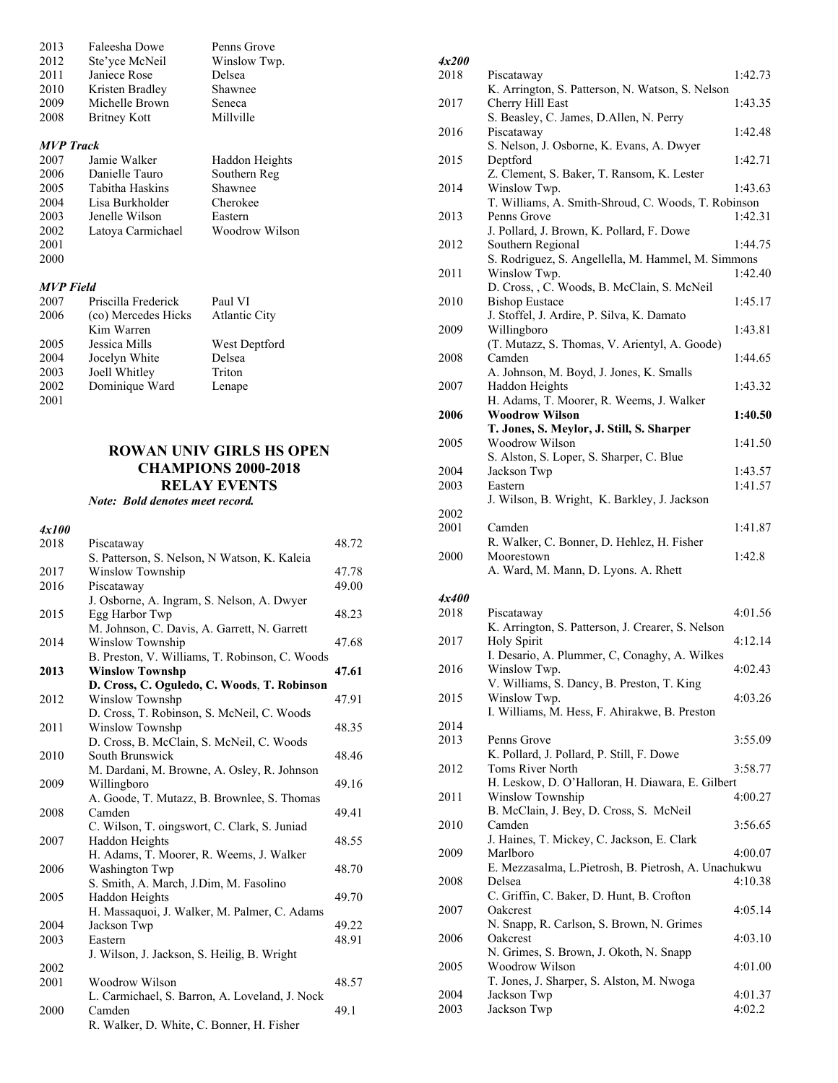| 2013             | Faleesha Dowe       | Penns Grove    |
|------------------|---------------------|----------------|
| 2012             | Ste'yce McNeil      | Winslow Twp.   |
| 2011             | Janiece Rose        | Delsea         |
| 2010             | Kristen Bradley     | Shawnee        |
| 2009             | Michelle Brown      | Seneca         |
| 2008             | Britney Kott        | Millville      |
|                  |                     |                |
| <b>MVP</b> Track |                     |                |
| 2007             | Jamie Walker        | Haddon Heights |
| 2006             | Danielle Tauro      | Southern Reg   |
| 2005             | Tabitha Haskins     | Shawnee        |
| 2004             | Lisa Burkholder     | Cherokee       |
| 2003             | Jenelle Wilson      | Eastern        |
| 2002             | Latoya Carmichael   | Woodrow Wilson |
| 2001             |                     |                |
| 2000             |                     |                |
|                  |                     |                |
| <b>MVP</b> Field |                     |                |
| 2007             | Priscilla Frederick | Paul VI        |
| 2006             | (co) Mercedes Hicks | Atlantic City  |
|                  | Kim Warren          |                |
| 2005             | Jessica Mills       | West Deptford  |
| 2004             | Jocelyn White       | Delsea         |
| 2003             | Joell Whitley       | Triton         |
| 2002             | Dominique Ward      | Lenape         |
| 2001             |                     |                |

### **ROWAN UNIV GIRLS HS OPEN CHAMPIONS 2000-2018 RELAY EVENTS**

*Note: Bold denotes meet record.* 

| 4x100 |                                                |       |
|-------|------------------------------------------------|-------|
| 2018  | Piscataway                                     | 48.72 |
|       | S. Patterson, S. Nelson, N Watson, K. Kaleia   |       |
| 2017  | Winslow Township                               | 47.78 |
| 2016  | Piscataway                                     | 49.00 |
|       | J. Osborne, A. Ingram, S. Nelson, A. Dwyer     |       |
| 2015  | Egg Harbor Twp                                 | 48.23 |
|       | M. Johnson, C. Davis, A. Garrett, N. Garrett   |       |
| 2014  | Winslow Township                               | 47.68 |
|       | B. Preston, V. Williams, T. Robinson, C. Woods |       |
| 2013  | <b>Winslow Townshp</b>                         | 47.61 |
|       | D. Cross, C. Oguledo, C. Woods, T. Robinson    |       |
| 2012  | Winslow Townshp                                | 47.91 |
|       | D. Cross, T. Robinson, S. McNeil, C. Woods     |       |
| 2011  | Winslow Townshp                                | 48.35 |
|       | D. Cross, B. McClain, S. McNeil, C. Woods      |       |
| 2010  | South Brunswick                                | 48.46 |
|       | M. Dardani, M. Browne, A. Osley, R. Johnson    |       |
| 2009  | Willingboro                                    | 49.16 |
|       | A. Goode, T. Mutazz, B. Brownlee, S. Thomas    |       |
| 2008  | Camden                                         | 49.41 |
|       | C. Wilson, T. oingswort, C. Clark, S. Juniad   |       |
| 2007  | Haddon Heights                                 | 48.55 |
|       | H. Adams, T. Moorer, R. Weems, J. Walker       |       |
| 2006  | Washington Twp                                 | 48.70 |
|       | S. Smith, A. March, J.Dim, M. Fasolino         |       |
| 2005  | Haddon Heights                                 | 49.70 |
|       | H. Massaquoi, J. Walker, M. Palmer, C. Adams   |       |
| 2004  | Jackson Twp                                    | 49.22 |
| 2003  | Eastern                                        | 48.91 |
|       | J. Wilson, J. Jackson, S. Heilig, B. Wright    |       |
| 2002  |                                                |       |
| 2001  | Woodrow Wilson                                 | 48.57 |
|       | L. Carmichael, S. Barron, A. Loveland, J. Nock |       |
| 2000  | Camden                                         | 49.1  |
|       | R. Walker, D. White, C. Bonner, H. Fisher      |       |

| <i>4x200</i> |                                                             |                   |
|--------------|-------------------------------------------------------------|-------------------|
| 2018         | Piscataway                                                  | 1:42.73           |
|              | K. Arrington, S. Patterson, N. Watson, S. Nelson            |                   |
| 2017         | Cherry Hill East                                            | 1:43.35           |
|              | S. Beasley, C. James, D.Allen, N. Perry                     |                   |
| 2016         | Piscataway<br>S. Nelson, J. Osborne, K. Evans, A. Dwyer     | 1:42.48           |
| 2015         | Deptford                                                    | 1:42.71           |
|              | Z. Clement, S. Baker, T. Ransom, K. Lester                  |                   |
| 2014         | Winslow Twp.                                                | 1:43.63           |
|              | T. Williams, A. Smith-Shroud, C. Woods, T. Robinson         |                   |
| 2013         | Penns Grove                                                 | 1:42.31           |
|              | J. Pollard, J. Brown, K. Pollard, F. Dowe                   |                   |
| 2012         | Southern Regional                                           | 1:44.75           |
|              | S. Rodriguez, S. Angellella, M. Hammel, M. Simmons          |                   |
| 2011         | Winslow Twp.<br>D. Cross, , C. Woods, B. McClain, S. McNeil | 1:42.40           |
| 2010         | <b>Bishop Eustace</b>                                       | 1:45.17           |
|              | J. Stoffel, J. Ardire, P. Silva, K. Damato                  |                   |
| 2009         | Willingboro                                                 | 1:43.81           |
|              | (T. Mutazz, S. Thomas, V. Arientyl, A. Goode)               |                   |
| 2008         | Camden                                                      | 1:44.65           |
|              | A. Johnson, M. Boyd, J. Jones, K. Smalls                    |                   |
| 2007         | Haddon Heights<br>H. Adams, T. Moorer, R. Weems, J. Walker  | 1:43.32           |
| 2006         | <b>Woodrow Wilson</b>                                       | 1:40.50           |
|              | T. Jones, S. Meylor, J. Still, S. Sharper                   |                   |
| 2005         | Woodrow Wilson                                              | 1:41.50           |
|              | S. Alston, S. Loper, S. Sharper, C. Blue                    |                   |
| 2004         | Jackson Twp                                                 | 1:43.57           |
| 2003         | Eastern                                                     | 1:41.57           |
|              | J. Wilson, B. Wright, K. Barkley, J. Jackson                |                   |
| 2002         |                                                             |                   |
| 2001         | Camden<br>R. Walker, C. Bonner, D. Hehlez, H. Fisher        | 1:41.87           |
|              |                                                             |                   |
|              |                                                             |                   |
| 2000         | Moorestown                                                  | 1:42.8            |
|              | A. Ward, M. Mann, D. Lyons. A. Rhett                        |                   |
| 4x400        |                                                             |                   |
| 2018         | Piscataway                                                  | 4:01.56           |
|              | K. Arrington, S. Patterson, J. Crearer, S. Nelson           |                   |
| 2017         | Holy Spirit                                                 | 4:12.14           |
|              | I. Desario, A. Plummer, C, Conaghy, A. Wilkes               |                   |
| 2016         | Winslow Twp.                                                | 4:02.43           |
| 2015         | V. Williams, S. Dancy, B. Preston, T. King<br>Winslow Twp.  | 4:03.26           |
|              | I. Williams, M. Hess, F. Ahirakwe, B. Preston               |                   |
| 2014         |                                                             |                   |
| 2013         | Penns Grove                                                 | 3:55.09           |
|              | K. Pollard, J. Pollard, P. Still, F. Dowe                   |                   |
| 2012         | Toms River North                                            | 3:58.77           |
|              | H. Leskow, D. O'Halloran, H. Diawara, E. Gilbert            |                   |
| 2011         | Winslow Township                                            | 4:00.27           |
| 2010         | B. McClain, J. Bey, D. Cross, S. McNeil<br>Camden           | 3:56.65           |
|              | J. Haines, T. Mickey, C. Jackson, E. Clark                  |                   |
| 2009         | Marlboro                                                    | 4:00.07           |
|              | E. Mezzasalma, L. Pietrosh, B. Pietrosh, A. Unachukwu       |                   |
| 2008         | Delsea                                                      | 4:10.38           |
|              | C. Griffin, C. Baker, D. Hunt, B. Crofton                   |                   |
| 2007         | Oakcrest                                                    | 4:05.14           |
| 2006         | N. Snapp, R. Carlson, S. Brown, N. Grimes<br>Oakcrest       | 4:03.10           |
|              | N. Grimes, S. Brown, J. Okoth, N. Snapp                     |                   |
| 2005         | Woodrow Wilson                                              | 4:01.00           |
|              | T. Jones, J. Sharper, S. Alston, M. Nwoga                   |                   |
| 2004<br>2003 | Jackson Twp<br>Jackson Twp                                  | 4:01.37<br>4:02.2 |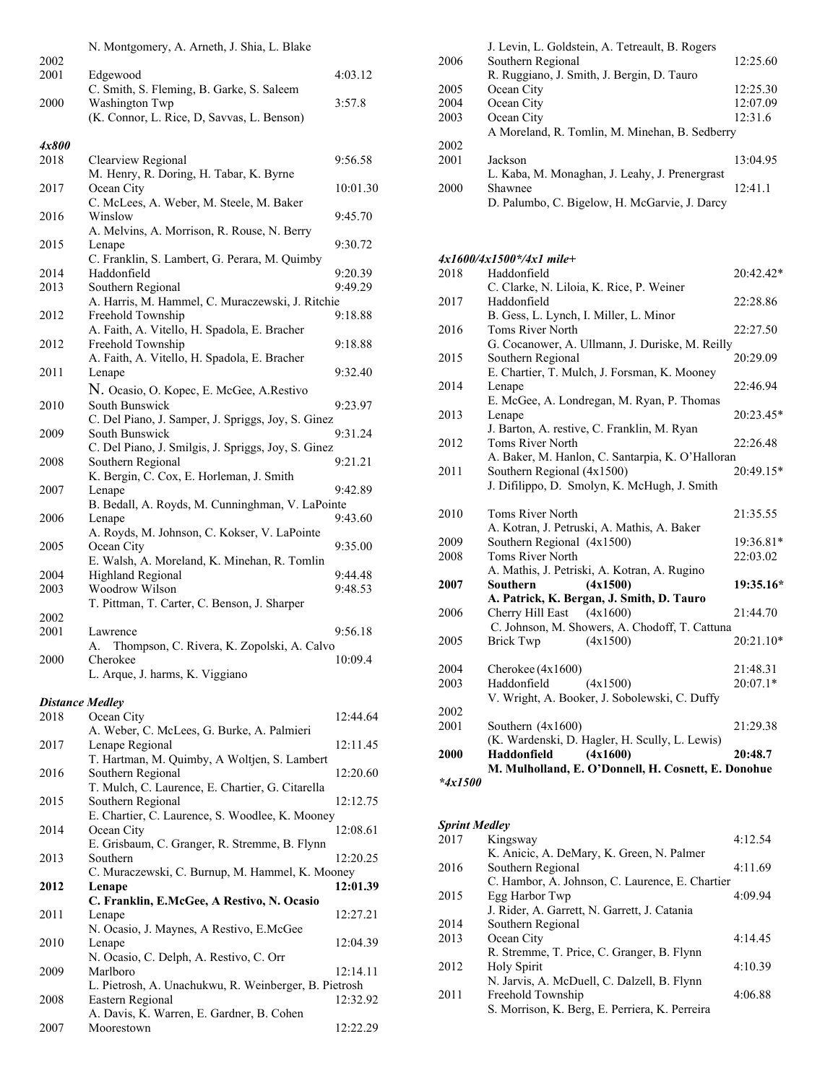|       | N. Montgomery, A. Arneth, J. Shia, L. Blake         |          |
|-------|-----------------------------------------------------|----------|
| 2002  |                                                     |          |
| 2001  | Edgewood                                            | 4:03.12  |
|       | C. Smith, S. Fleming, B. Garke, S. Saleem           |          |
| 2000  | Washington Twp                                      | 3:57.8   |
|       | (K. Connor, L. Rice, D. Savvas, L. Benson)          |          |
| 4x800 |                                                     |          |
| 2018  | Clearview Regional                                  | 9:56.58  |
|       | M. Henry, R. Doring, H. Tabar, K. Byrne             |          |
| 2017  | Ocean City                                          | 10:01.30 |
|       | C. McLees, A. Weber, M. Steele, M. Baker            |          |
| 2016  | Winslow                                             | 9:45.70  |
|       | A. Melvins, A. Morrison, R. Rouse, N. Berry         |          |
| 2015  | Lenape                                              | 9:30.72  |
|       | C. Franklin, S. Lambert, G. Perara, M. Quimby       |          |
| 2014  | Haddonfield                                         | 9:20.39  |
| 2013  | Southern Regional                                   | 9:49.29  |
|       | A. Harris, M. Hammel, C. Muraczewski, J. Ritchie    |          |
| 2012  | Freehold Township                                   | 9:18.88  |
|       | A. Faith, A. Vitello, H. Spadola, E. Bracher        |          |
| 2012  | Freehold Township                                   | 9:18.88  |
|       | A. Faith, A. Vitello, H. Spadola, E. Bracher        |          |
| 2011  | Lenape                                              | 9:32.40  |
|       | N. Ocasio, O. Kopec, E. McGee, A.Restivo            |          |
| 2010  | South Bunswick                                      | 9:23.97  |
|       | C. Del Piano, J. Samper, J. Spriggs, Joy, S. Ginez  |          |
| 2009  | South Bunswick                                      | 9:31.24  |
|       | C. Del Piano, J. Smilgis, J. Spriggs, Joy, S. Ginez |          |
| 2008  | Southern Regional                                   | 9:21.21  |
|       | K. Bergin, C. Cox, E. Horleman, J. Smith            |          |
| 2007  | Lenape                                              | 9:42.89  |
|       | B. Bedall, A. Royds, M. Cunninghman, V. LaPointe    |          |
| 2006  | Lenape                                              | 9:43.60  |
|       | A. Royds, M. Johnson, C. Kokser, V. LaPointe        |          |
| 2005  | Ocean City                                          | 9:35.00  |
|       | E. Walsh, A. Moreland, K. Minehan, R. Tomlin        |          |
| 2004  | Highland Regional                                   | 9:44.48  |
| 2003  | Woodrow Wilson                                      | 9:48.53  |
|       | T. Pittman, T. Carter, C. Benson, J. Sharper        |          |
| 2002  |                                                     |          |
| 2001  | Lawrence                                            | 9:56.18  |
|       | Thompson, C. Rivera, K. Zopolski, A. Calvo<br>А.    |          |
| 2000  | Cherokee                                            | 10:09.4  |
|       | L. Arque, J. harms, K. Viggiano                     |          |

# *Distance Medley*

| 2018 | Ocean City                                            | 12:44.64 |
|------|-------------------------------------------------------|----------|
|      | A. Weber, C. McLees, G. Burke, A. Palmieri            |          |
| 2017 | Lenape Regional                                       | 12:11.45 |
|      | T. Hartman, M. Quimby, A Woltjen, S. Lambert          |          |
| 2016 | Southern Regional                                     | 12:20.60 |
|      | T. Mulch, C. Laurence, E. Chartier, G. Citarella      |          |
| 2015 | Southern Regional                                     | 12:12.75 |
|      | E. Chartier, C. Laurence, S. Woodlee, K. Mooney       |          |
| 2014 | Ocean City                                            | 12:08.61 |
|      | E. Grisbaum, C. Granger, R. Stremme, B. Flynn         |          |
| 2013 | Southern                                              | 12:20.25 |
|      | C. Muraczewski, C. Burnup, M. Hammel, K. Mooney       |          |
| 2012 | Lenape                                                | 12:01.39 |
|      | C. Franklin, E.McGee, A Restivo, N. Ocasio            |          |
| 2011 | Lenape                                                | 12:27.21 |
|      | N. Ocasio, J. Maynes, A Restivo, E.McGee              |          |
| 2010 | Lenape                                                | 12:04.39 |
|      | N. Ocasio, C. Delph, A. Restivo, C. Orr               |          |
| 2009 | Marlboro                                              | 12:14.11 |
|      | L. Pietrosh, A. Unachukwu, R. Weinberger, B. Pietrosh |          |
| 2008 | Eastern Regional                                      | 12:32.92 |
|      | A. Davis, K. Warren, E. Gardner, B. Cohen             |          |
| 2007 | Moorestown                                            | 12:22.29 |

|      | J. Levin, L. Goldstein, A. Tetreault, B. Rogers |          |
|------|-------------------------------------------------|----------|
| 2006 | Southern Regional                               | 12:25.60 |
|      | R. Ruggiano, J. Smith, J. Bergin, D. Tauro      |          |
| 2005 | Ocean City                                      | 12:25.30 |
| 2004 | Ocean City                                      | 12:07.09 |
| 2003 | Ocean City                                      | 12:31.6  |
|      | A Moreland, R. Tomlin, M. Minehan, B. Sedberry  |          |
| 2002 |                                                 |          |
| 2001 | Jackson                                         | 13:04.95 |
|      | L. Kaba, M. Monaghan, J. Leahy, J. Prenergrast  |          |
| 2000 | Shawnee                                         | 12:41.1  |
|      | D. Palumbo, C. Bigelow, H. McGarvie, J. Darcy   |          |

# *4x1600/4x1500\*/4x1 mile+*

| 2018                                        | Haddonfield                                         | 20:42.42* |
|---------------------------------------------|-----------------------------------------------------|-----------|
|                                             | C. Clarke, N. Liloia, K. Rice, P. Weiner            |           |
| 2017                                        | Haddonfield                                         | 22:28.86  |
|                                             | B. Gess, L. Lynch, I. Miller, L. Minor              |           |
| 2016                                        | Toms River North                                    | 22:27.50  |
|                                             | G. Cocanower, A. Ullmann, J. Duriske, M. Reilly     |           |
| 2015                                        | Southern Regional                                   | 20:29.09  |
|                                             | E. Chartier, T. Mulch, J. Forsman, K. Mooney        |           |
| 2014                                        | Lenape                                              | 22:46.94  |
|                                             | E. McGee, A. Londregan, M. Ryan, P. Thomas          |           |
| 2013                                        | Lenape                                              | 20:23.45* |
|                                             | J. Barton, A. restive, C. Franklin, M. Ryan         |           |
| 2012                                        | Toms River North                                    | 22:26.48  |
|                                             | A. Baker, M. Hanlon, C. Santarpia, K. O'Halloran    |           |
| 2011                                        | Southern Regional (4x1500)                          | 20:49.15* |
|                                             | J. Difilippo, D. Smolyn, K. McHugh, J. Smith        |           |
|                                             |                                                     |           |
| 2010                                        | Toms River North                                    | 21:35.55  |
|                                             | A. Kotran, J. Petruski, A. Mathis, A. Baker         |           |
| 2009                                        | Southern Regional (4x1500)                          | 19:36.81* |
| 2008                                        | <b>Toms River North</b>                             | 22:03.02  |
|                                             | A. Mathis, J. Petriski, A. Kotran, A. Rugino        |           |
| 2007                                        | (4x1500)<br><b>Southern</b>                         | 19:35.16* |
|                                             | A. Patrick, K. Bergan, J. Smith, D. Tauro           |           |
| 2006                                        | Cherry Hill East<br>(4x1600)                        | 21:44.70  |
|                                             | C. Johnson, M. Showers, A. Chodoff, T. Cattuna      |           |
| 2005                                        | Brick Twp<br>(4x1500)                               | 20:21.10* |
|                                             |                                                     |           |
| 2004                                        | Cherokee $(4x1600)$                                 | 21:48.31  |
| 2003                                        | Haddonfield<br>(4x1500)                             | 20:07.1*  |
|                                             | V. Wright, A. Booker, J. Sobolewski, C. Duffy       |           |
| 2002                                        |                                                     |           |
| 2001                                        | Southern (4x1600)                                   | 21:29.38  |
|                                             | (K. Wardenski, D. Hagler, H. Scully, L. Lewis)      |           |
| 2000                                        | (4x1600)<br>Haddonfield                             | 20:48.7   |
|                                             | M. Mulholland, E. O'Donnell, H. Cosnett, E. Donohue |           |
| $\mathbf{a}$<br>$\bullet$ $\bullet$ $\circ$ |                                                     |           |

*\*4x1500* 

# *Sprint Medley*

| 2017 | Kingsway                                        | 4:12.54 |
|------|-------------------------------------------------|---------|
|      | K. Anicic, A. DeMary, K. Green, N. Palmer       |         |
| 2016 | Southern Regional                               | 4:11.69 |
|      | C. Hambor, A. Johnson, C. Laurence, E. Chartier |         |
| 2015 | Egg Harbor Twp                                  | 4:09.94 |
|      | J. Rider, A. Garrett, N. Garrett, J. Catania    |         |
| 2014 | Southern Regional                               |         |
| 2013 | Ocean City                                      | 4:14.45 |
|      | R. Stremme, T. Price, C. Granger, B. Flynn      |         |
| 2012 | Holy Spirit                                     | 4:10.39 |
|      | N. Jarvis, A. McDuell, C. Dalzell, B. Flynn     |         |
| 2011 | Freehold Township                               | 4:06.88 |
|      | S. Morrison, K. Berg, E. Perriera, K. Perreira  |         |
|      |                                                 |         |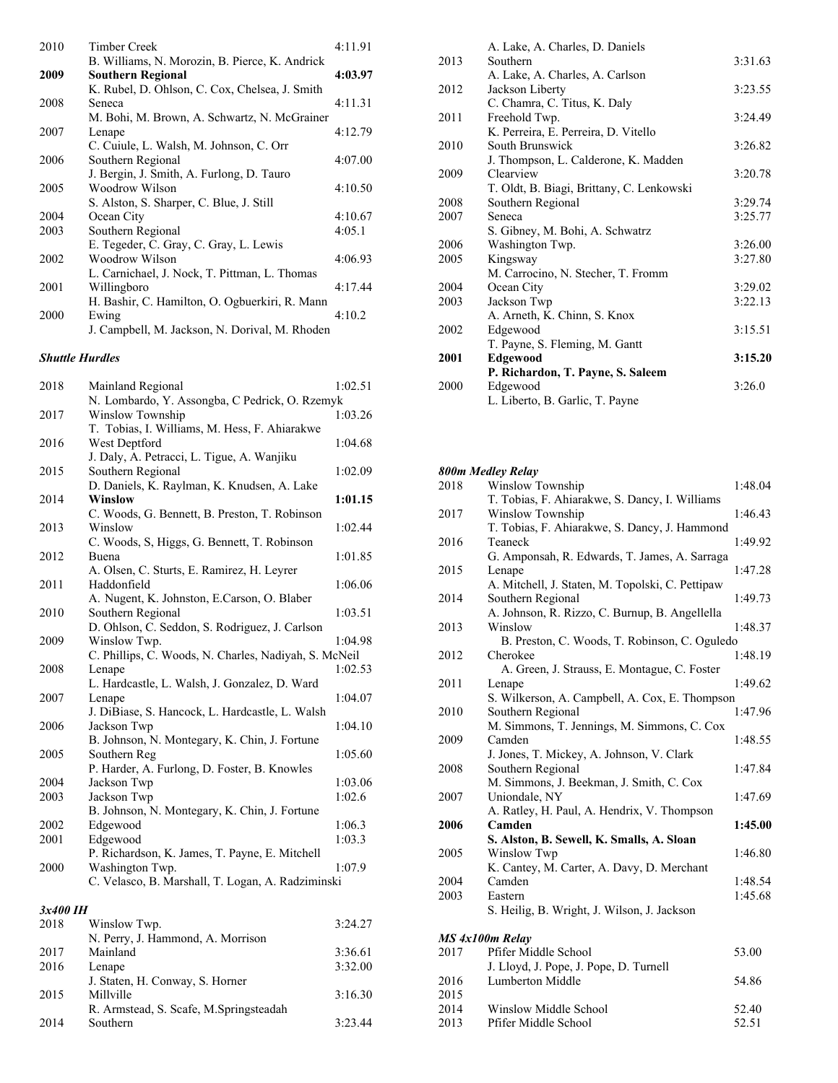| 2010 | Timber Creek                                   | 4:11.91 |
|------|------------------------------------------------|---------|
|      | B. Williams, N. Morozin, B. Pierce, K. Andrick |         |
| 2009 | <b>Southern Regional</b>                       | 4:03.97 |
|      | K. Rubel, D. Ohlson, C. Cox, Chelsea, J. Smith |         |
| 2008 | Seneca                                         | 4:11.31 |
|      | M. Bohi, M. Brown, A. Schwartz, N. McGrainer   |         |
| 2007 | Lenape                                         | 4:12.79 |
|      | C. Cuiule, L. Walsh, M. Johnson, C. Orr        |         |
| 2006 | Southern Regional                              | 4:07.00 |
|      | J. Bergin, J. Smith, A. Furlong, D. Tauro      |         |
| 2005 | Woodrow Wilson                                 | 4:10.50 |
|      | S. Alston, S. Sharper, C. Blue, J. Still       |         |
| 2004 | Ocean City                                     | 4:10.67 |
| 2003 | Southern Regional                              | 4:05.1  |
|      | E. Tegeder, C. Gray, C. Gray, L. Lewis         |         |
| 2002 | Woodrow Wilson                                 | 4:06.93 |
|      | L. Carnichael, J. Nock, T. Pittman, L. Thomas  |         |
| 2001 | Willingboro                                    | 4:17.44 |
|      | H. Bashir, C. Hamilton, O. Ogbuerkiri, R. Mann |         |
| 2000 | Ewing                                          | 4:10.2  |
|      | J. Campbell, M. Jackson, N. Dorival, M. Rhoden |         |

#### *Shuttle Hurdles*

| 2018 | Mainland Regional                                     | 1:02.51 |
|------|-------------------------------------------------------|---------|
|      | N. Lombardo, Y. Assongba, C Pedrick, O. Rzemyk        |         |
| 2017 | <b>Winslow Township</b>                               | 1:03.26 |
|      | T. Tobias, I. Williams, M. Hess, F. Ahiarakwe         |         |
| 2016 | West Deptford                                         | 1:04.68 |
|      | J. Daly, A. Petracci, L. Tigue, A. Wanjiku            |         |
| 2015 | Southern Regional                                     | 1:02.09 |
|      | D. Daniels, K. Raylman, K. Knudsen, A. Lake           |         |
| 2014 | Winslow                                               | 1:01.15 |
|      | C. Woods, G. Bennett, B. Preston, T. Robinson         |         |
| 2013 | Winslow                                               | 1:02.44 |
|      | C. Woods, S, Higgs, G. Bennett, T. Robinson           |         |
| 2012 | Buena                                                 | 1:01.85 |
|      | A. Olsen, C. Sturts, E. Ramirez, H. Leyrer            |         |
| 2011 | Haddonfield                                           | 1:06.06 |
|      | A. Nugent, K. Johnston, E.Carson, O. Blaber           |         |
| 2010 | Southern Regional                                     | 1:03.51 |
|      | D. Ohlson, C. Seddon, S. Rodriguez, J. Carlson        |         |
| 2009 | Winslow Twp.                                          | 1:04.98 |
|      | C. Phillips, C. Woods, N. Charles, Nadiyah, S. McNeil |         |
| 2008 | Lenape                                                | 1:02.53 |
|      | L. Hardcastle, L. Walsh, J. Gonzalez, D. Ward         |         |
| 2007 | Lenape                                                | 1:04.07 |
|      | J. DiBiase, S. Hancock, L. Hardcastle, L. Walsh       |         |
| 2006 | Jackson Twp                                           | 1:04.10 |
|      | B. Johnson, N. Montegary, K. Chin, J. Fortune         |         |
| 2005 | Southern Reg                                          | 1:05.60 |
|      | P. Harder, A. Furlong, D. Foster, B. Knowles          |         |
| 2004 | Jackson Twp                                           | 1:03.06 |
| 2003 | Jackson Twp                                           | 1:02.6  |
|      | B. Johnson, N. Montegary, K. Chin, J. Fortune         |         |
| 2002 | Edgewood                                              | 1:06.3  |
| 2001 | Edgewood                                              | 1:03.3  |
|      | P. Richardson, K. James, T. Payne, E. Mitchell        |         |
| 2000 | Washington Twp.                                       | 1:07.9  |
|      | C. Velasco, B. Marshall, T. Logan, A. Radziminski     |         |
|      |                                                       |         |

#### *3x400 IH*

| 2018 | Winslow Twp.                           | 3:24.27 |
|------|----------------------------------------|---------|
|      | N. Perry, J. Hammond, A. Morrison      |         |
| 2017 | Mainland                               | 3:36.61 |
| 2016 | Lenape                                 | 3:32.00 |
|      | J. Staten, H. Conway, S. Horner        |         |
| 2015 | Millville                              | 3:16.30 |
|      | R. Armstead, S. Scafe, M.Springsteadah |         |
| 2014 | Southern                               | 3:23.44 |

|      | A. Lake, A. Charles, D. Daniels           |         |
|------|-------------------------------------------|---------|
| 2013 | Southern                                  | 3:31.63 |
|      | A. Lake, A. Charles, A. Carlson           |         |
| 2012 | Jackson Liberty                           | 3:23.55 |
|      | C. Chamra, C. Titus, K. Daly              |         |
| 2011 | Freehold Twp.                             | 3:24.49 |
|      | K. Perreira, E. Perreira, D. Vitello      |         |
| 2010 | South Brunswick                           | 3:26.82 |
|      | J. Thompson, L. Calderone, K. Madden      |         |
| 2009 | Clearview                                 | 3:20.78 |
|      | T. Oldt, B. Biagi, Brittany, C. Lenkowski |         |
| 2008 | Southern Regional                         | 3:29.74 |
| 2007 | Seneca                                    | 3:25.77 |
|      | S. Gibney, M. Bohi, A. Schwatrz           |         |
| 2006 | Washington Twp.                           | 3:26.00 |
| 2005 | Kingsway                                  | 3:27.80 |
|      | M. Carrocino, N. Stecher, T. Fromm        |         |
| 2004 | Ocean City                                | 3:29.02 |
| 2003 | Jackson Twp                               | 3:22.13 |
|      | A. Arneth, K. Chinn, S. Knox              |         |
| 2002 | Edgewood                                  | 3:15.51 |
|      | T. Payne, S. Fleming, M. Gantt            |         |
| 2001 | Edgewood                                  | 3:15.20 |
|      | P. Richardon, T. Payne, S. Saleem         |         |
| 2000 | Edgewood                                  | 3:26.0  |
|      | L. Liberto, B. Garlic, T. Payne           |         |

#### *800m Medley Relay*

 $2015$ <br> $2014$ 

| 2018 | Winslow Township                                 | 1:48.04 |
|------|--------------------------------------------------|---------|
|      | T. Tobias, F. Ahiarakwe, S. Dancy, I. Williams   |         |
| 2017 | Winslow Township                                 | 1:46.43 |
|      | T. Tobias, F. Ahiarakwe, S. Dancy, J. Hammond    |         |
| 2016 | Teaneck                                          | 1:49.92 |
|      | G. Amponsah, R. Edwards, T. James, A. Sarraga    |         |
| 2015 | Lenape                                           | 1:47.28 |
|      | A. Mitchell, J. Staten, M. Topolski, C. Pettipaw |         |
| 2014 | Southern Regional                                | 1:49.73 |
|      | A. Johnson, R. Rizzo, C. Burnup, B. Angellella   |         |
| 2013 | Winslow                                          | 1:48.37 |
|      | B. Preston, C. Woods, T. Robinson, C. Oguledo    |         |
| 2012 | Cherokee                                         | 1:48.19 |
|      | A. Green, J. Strauss, E. Montague, C. Foster     |         |
| 2011 | Lenape                                           | 1:49.62 |
|      | S. Wilkerson, A. Campbell, A. Cox, E. Thompson   |         |
| 2010 | Southern Regional                                | 1:47.96 |
|      | M. Simmons, T. Jennings, M. Simmons, C. Cox      |         |
| 2009 | Camden                                           | 1:48.55 |
|      | J. Jones, T. Mickey, A. Johnson, V. Clark        |         |
| 2008 | Southern Regional                                | 1:47.84 |
|      | M. Simmons, J. Beekman, J. Smith, C. Cox         |         |
| 2007 | Uniondale, NY                                    | 1:47.69 |
|      | A. Ratley, H. Paul, A. Hendrix, V. Thompson      |         |
| 2006 | Camden                                           | 1:45.00 |
|      | S. Alston, B. Sewell, K. Smalls, A. Sloan        |         |
| 2005 | Winslow Twp                                      | 1:46.80 |
|      | K. Cantey, M. Carter, A. Davy, D. Merchant       |         |
| 2004 | Camden                                           | 1:48.54 |
| 2003 | Eastern                                          | 1:45.68 |
|      | S. Heilig, B. Wright, J. Wilson, J. Jackson      |         |
|      | MS 4x100m Relay                                  |         |
| 2017 | Pfifer Middle School                             | 53.00   |
|      | J. Lloyd, J. Pope, J. Pope, D. Turnell           |         |
| 2016 | Lumberton Middle                                 | 54.86   |
|      |                                                  |         |

2014 Winslow Middle School 52.40<br>2013 Pfifer Middle School 52.51

Pfifer Middle School